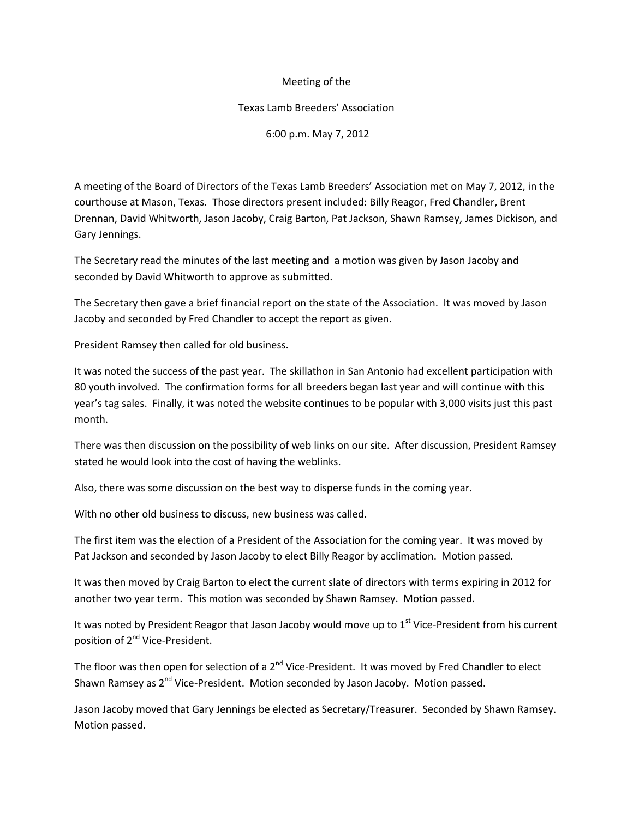## Meeting of the

## Texas Lamb Breeders' Association

## 6:00 p.m. May 7, 2012

A meeting of the Board of Directors of the Texas Lamb Breeders' Association met on May 7, 2012, in the courthouse at Mason, Texas. Those directors present included: Billy Reagor, Fred Chandler, Brent Drennan, David Whitworth, Jason Jacoby, Craig Barton, Pat Jackson, Shawn Ramsey, James Dickison, and Gary Jennings.

The Secretary read the minutes of the last meeting and a motion was given by Jason Jacoby and seconded by David Whitworth to approve as submitted.

The Secretary then gave a brief financial report on the state of the Association. It was moved by Jason Jacoby and seconded by Fred Chandler to accept the report as given.

President Ramsey then called for old business.

It was noted the success of the past year. The skillathon in San Antonio had excellent participation with 80 youth involved. The confirmation forms for all breeders began last year and will continue with this year's tag sales. Finally, it was noted the website continues to be popular with 3,000 visits just this past month.

There was then discussion on the possibility of web links on our site. After discussion, President Ramsey stated he would look into the cost of having the weblinks.

Also, there was some discussion on the best way to disperse funds in the coming year.

With no other old business to discuss, new business was called.

The first item was the election of a President of the Association for the coming year. It was moved by Pat Jackson and seconded by Jason Jacoby to elect Billy Reagor by acclimation. Motion passed.

It was then moved by Craig Barton to elect the current slate of directors with terms expiring in 2012 for another two year term. This motion was seconded by Shawn Ramsey. Motion passed.

It was noted by President Reagor that Jason Jacoby would move up to  $1<sup>st</sup>$  Vice-President from his current position of 2<sup>nd</sup> Vice-President.

The floor was then open for selection of a 2<sup>nd</sup> Vice-President. It was moved by Fred Chandler to elect Shawn Ramsey as 2<sup>nd</sup> Vice-President. Motion seconded by Jason Jacoby. Motion passed.

Jason Jacoby moved that Gary Jennings be elected as Secretary/Treasurer. Seconded by Shawn Ramsey. Motion passed.